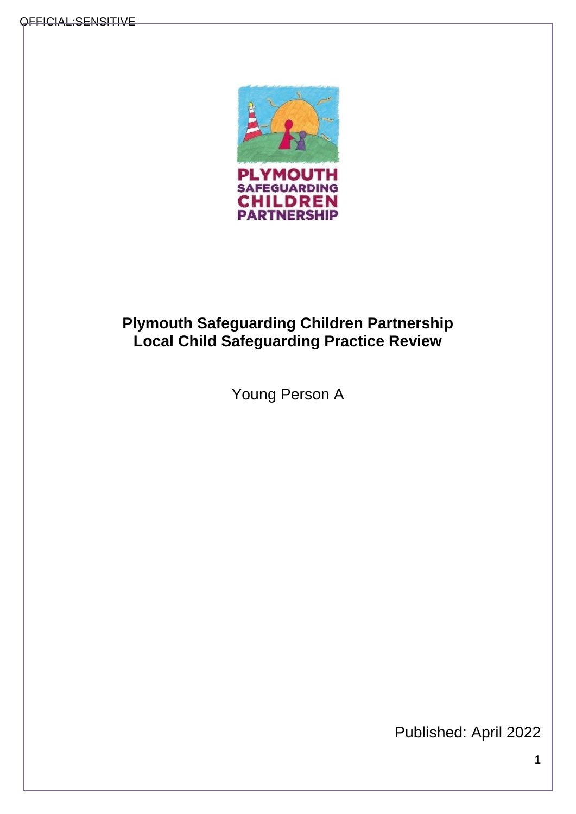

# **Plymouth Safeguarding Children Partnership Local Child Safeguarding Practice Review**

Young Person A

Published: April 2022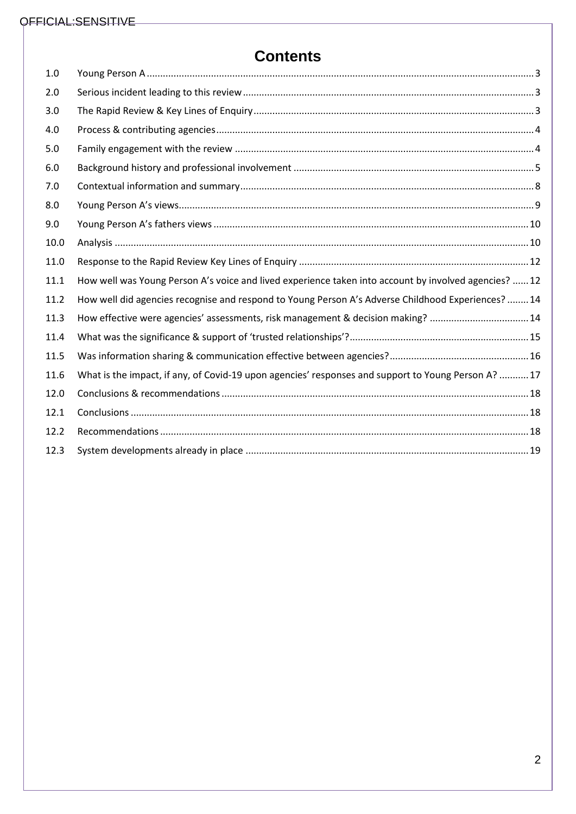# **Contents**

| 1.0  |                                                                                                       |
|------|-------------------------------------------------------------------------------------------------------|
| 2.0  |                                                                                                       |
| 3.0  |                                                                                                       |
| 4.0  |                                                                                                       |
| 5.0  |                                                                                                       |
| 6.0  |                                                                                                       |
| 7.0  |                                                                                                       |
| 8.0  |                                                                                                       |
| 9.0  |                                                                                                       |
| 10.0 |                                                                                                       |
| 11.0 |                                                                                                       |
| 11.1 | How well was Young Person A's voice and lived experience taken into account by involved agencies?  12 |
| 11.2 | How well did agencies recognise and respond to Young Person A's Adverse Childhood Experiences?  14    |
| 11.3 | How effective were agencies' assessments, risk management & decision making? 14                       |
| 11.4 |                                                                                                       |
| 11.5 |                                                                                                       |
| 11.6 | What is the impact, if any, of Covid-19 upon agencies' responses and support to Young Person A?  17   |
| 12.0 |                                                                                                       |
| 12.1 |                                                                                                       |
| 12.2 |                                                                                                       |
| 12.3 |                                                                                                       |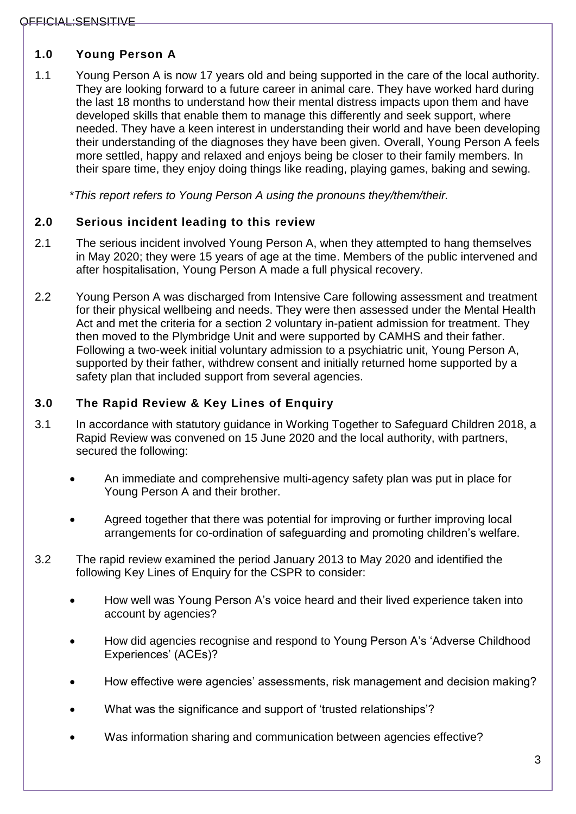# <span id="page-2-0"></span>**1.0 Young Person A**

1.1 Young Person A is now 17 years old and being supported in the care of the local authority. They are looking forward to a future career in animal care. They have worked hard during the last 18 months to understand how their mental distress impacts upon them and have developed skills that enable them to manage this differently and seek support, where needed. They have a keen interest in understanding their world and have been developing their understanding of the diagnoses they have been given. Overall, Young Person A feels more settled, happy and relaxed and enjoys being be closer to their family members. In their spare time, they enjoy doing things like reading, playing games, baking and sewing.

\**This report refers to Young Person A using the pronouns they/them/their.* 

# <span id="page-2-1"></span>**2.0 Serious incident leading to this review**

- 2.1 The serious incident involved Young Person A, when they attempted to hang themselves in May 2020; they were 15 years of age at the time. Members of the public intervened and after hospitalisation, Young Person A made a full physical recovery.
- 2.2 Young Person A was discharged from Intensive Care following assessment and treatment for their physical wellbeing and needs. They were then assessed under the Mental Health Act and met the criteria for a section 2 voluntary in-patient admission for treatment. They then moved to the Plymbridge Unit and were supported by CAMHS and their father. Following a two-week initial voluntary admission to a psychiatric unit, Young Person A, supported by their father, withdrew consent and initially returned home supported by a safety plan that included support from several agencies.

# <span id="page-2-2"></span>**3.0 The Rapid Review & Key Lines of Enquiry**

- 3.1 In accordance with statutory guidance in Working Together to Safeguard Children 2018, a Rapid Review was convened on 15 June 2020 and the local authority, with partners, secured the following:
	- An immediate and comprehensive multi-agency safety plan was put in place for Young Person A and their brother.
	- Agreed together that there was potential for improving or further improving local arrangements for co-ordination of safeguarding and promoting children's welfare.
- 3.2 The rapid review examined the period January 2013 to May 2020 and identified the following Key Lines of Enquiry for the CSPR to consider:
	- How well was Young Person A's voice heard and their lived experience taken into account by agencies?
	- How did agencies recognise and respond to Young Person A's 'Adverse Childhood Experiences' (ACEs)?
	- How effective were agencies' assessments, risk management and decision making?
	- What was the significance and support of 'trusted relationships'?
	- Was information sharing and communication between agencies effective?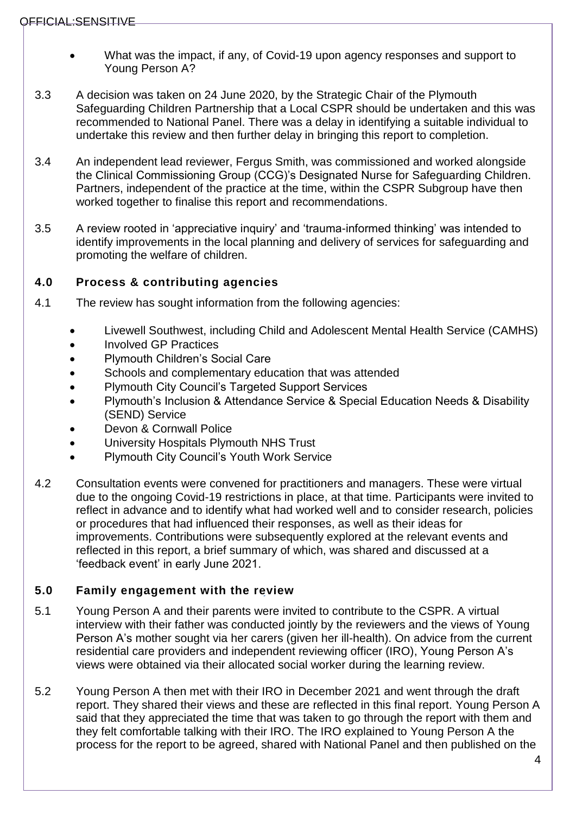- What was the impact, if any, of Covid-19 upon agency responses and support to Young Person A?
- 3.3 A decision was taken on 24 June 2020, by the Strategic Chair of the Plymouth Safeguarding Children Partnership that a Local CSPR should be undertaken and this was recommended to National Panel. There was a delay in identifying a suitable individual to undertake this review and then further delay in bringing this report to completion.
- 3.4 An independent lead reviewer, Fergus Smith, was commissioned and worked alongside the Clinical Commissioning Group (CCG)'s Designated Nurse for Safeguarding Children. Partners, independent of the practice at the time, within the CSPR Subgroup have then worked together to finalise this report and recommendations.
- 3.5 A review rooted in 'appreciative inquiry' and 'trauma-informed thinking' was intended to identify improvements in the local planning and delivery of services for safeguarding and promoting the welfare of children.

# <span id="page-3-0"></span>**4.0 Process & contributing agencies**

- 4.1 The review has sought information from the following agencies:
	- Livewell Southwest, including Child and Adolescent Mental Health Service (CAMHS)
	- Involved GP Practices
	- Plymouth Children's Social Care
	- Schools and complementary education that was attended
	- Plymouth City Council's Targeted Support Services
	- Plymouth's Inclusion & Attendance Service & Special Education Needs & Disability (SEND) Service
	- Devon & Cornwall Police
	- University Hospitals Plymouth NHS Trust
	- Plymouth City Council's Youth Work Service
- 4.2 Consultation events were convened for practitioners and managers. These were virtual due to the ongoing Covid-19 restrictions in place, at that time. Participants were invited to reflect in advance and to identify what had worked well and to consider research, policies or procedures that had influenced their responses, as well as their ideas for improvements. Contributions were subsequently explored at the relevant events and reflected in this report, a brief summary of which, was shared and discussed at a 'feedback event' in early June 2021.

# <span id="page-3-1"></span>**5.0 Family engagement with the review**

- 5.1 Young Person A and their parents were invited to contribute to the CSPR. A virtual interview with their father was conducted jointly by the reviewers and the views of Young Person A's mother sought via her carers (given her ill-health). On advice from the current residential care providers and independent reviewing officer (IRO), Young Person A's views were obtained via their allocated social worker during the learning review.
- 5.2 Young Person A then met with their IRO in December 2021 and went through the draft report. They shared their views and these are reflected in this final report. Young Person A said that they appreciated the time that was taken to go through the report with them and they felt comfortable talking with their IRO. The IRO explained to Young Person A the process for the report to be agreed, shared with National Panel and then published on the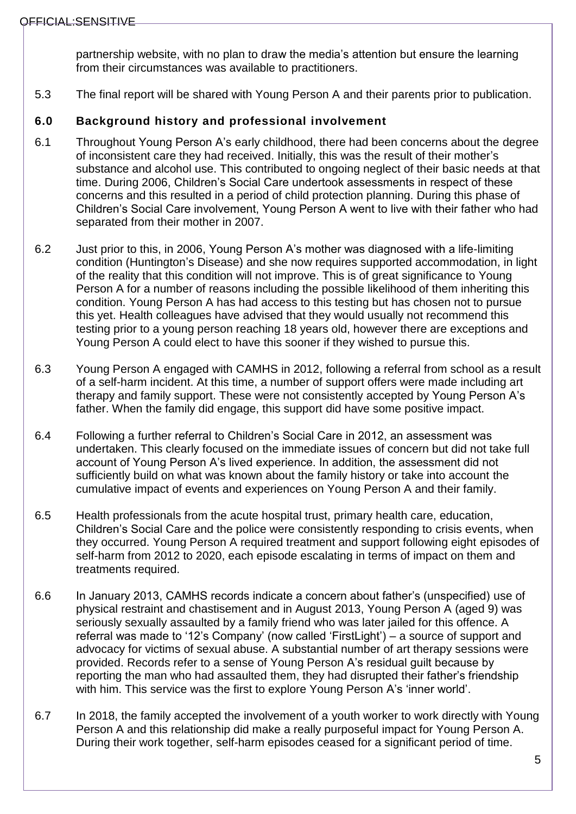partnership website, with no plan to draw the media's attention but ensure the learning from their circumstances was available to practitioners.

5.3 The final report will be shared with Young Person A and their parents prior to publication.

#### <span id="page-4-0"></span>**6.0 Background history and professional involvement**

- 6.1 Throughout Young Person A's early childhood, there had been concerns about the degree of inconsistent care they had received. Initially, this was the result of their mother's substance and alcohol use. This contributed to ongoing neglect of their basic needs at that time. During 2006, Children's Social Care undertook assessments in respect of these concerns and this resulted in a period of child protection planning. During this phase of Children's Social Care involvement, Young Person A went to live with their father who had separated from their mother in 2007.
- 6.2 Just prior to this, in 2006, Young Person A's mother was diagnosed with a life-limiting condition (Huntington's Disease) and she now requires supported accommodation, in light of the reality that this condition will not improve. This is of great significance to Young Person A for a number of reasons including the possible likelihood of them inheriting this condition. Young Person A has had access to this testing but has chosen not to pursue this yet. Health colleagues have advised that they would usually not recommend this testing prior to a young person reaching 18 years old, however there are exceptions and Young Person A could elect to have this sooner if they wished to pursue this.
- 6.3 Young Person A engaged with CAMHS in 2012, following a referral from school as a result of a self-harm incident. At this time, a number of support offers were made including art therapy and family support. These were not consistently accepted by Young Person A's father. When the family did engage, this support did have some positive impact.
- 6.4 Following a further referral to Children's Social Care in 2012, an assessment was undertaken. This clearly focused on the immediate issues of concern but did not take full account of Young Person A's lived experience. In addition, the assessment did not sufficiently build on what was known about the family history or take into account the cumulative impact of events and experiences on Young Person A and their family.
- 6.5 Health professionals from the acute hospital trust, primary health care, education, Children's Social Care and the police were consistently responding to crisis events, when they occurred. Young Person A required treatment and support following eight episodes of self-harm from 2012 to 2020, each episode escalating in terms of impact on them and treatments required.
- 6.6 In January 2013, CAMHS records indicate a concern about father's (unspecified) use of physical restraint and chastisement and in August 2013, Young Person A (aged 9) was seriously sexually assaulted by a family friend who was later jailed for this offence. A referral was made to '12's Company' (now called 'FirstLight') – a source of support and advocacy for victims of sexual abuse. A substantial number of art therapy sessions were provided. Records refer to a sense of Young Person A's residual guilt because by reporting the man who had assaulted them, they had disrupted their father's friendship with him. This service was the first to explore Young Person A's 'inner world'.
- 6.7 In 2018, the family accepted the involvement of a youth worker to work directly with Young Person A and this relationship did make a really purposeful impact for Young Person A. During their work together, self-harm episodes ceased for a significant period of time.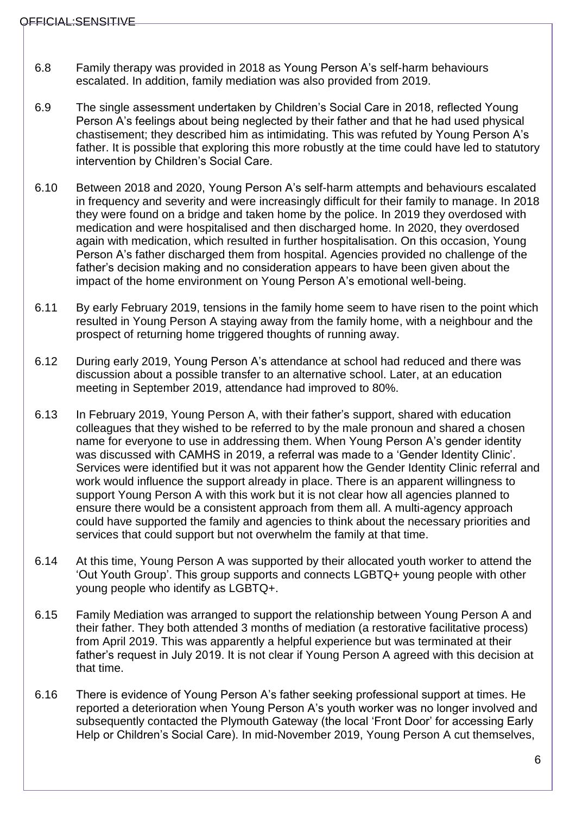- 6.8 Family therapy was provided in 2018 as Young Person A's self-harm behaviours escalated. In addition, family mediation was also provided from 2019.
- 6.9 The single assessment undertaken by Children's Social Care in 2018, reflected Young Person A's feelings about being neglected by their father and that he had used physical chastisement; they described him as intimidating. This was refuted by Young Person A's father. It is possible that exploring this more robustly at the time could have led to statutory intervention by Children's Social Care.
- 6.10 Between 2018 and 2020, Young Person A's self-harm attempts and behaviours escalated in frequency and severity and were increasingly difficult for their family to manage. In 2018 they were found on a bridge and taken home by the police. In 2019 they overdosed with medication and were hospitalised and then discharged home. In 2020, they overdosed again with medication, which resulted in further hospitalisation. On this occasion, Young Person A's father discharged them from hospital. Agencies provided no challenge of the father's decision making and no consideration appears to have been given about the impact of the home environment on Young Person A's emotional well-being.
- 6.11 By early February 2019, tensions in the family home seem to have risen to the point which resulted in Young Person A staying away from the family home, with a neighbour and the prospect of returning home triggered thoughts of running away.
- 6.12 During early 2019, Young Person A's attendance at school had reduced and there was discussion about a possible transfer to an alternative school. Later, at an education meeting in September 2019, attendance had improved to 80%.
- 6.13 In February 2019, Young Person A, with their father's support, shared with education colleagues that they wished to be referred to by the male pronoun and shared a chosen name for everyone to use in addressing them. When Young Person A's gender identity was discussed with CAMHS in 2019, a referral was made to a 'Gender Identity Clinic'. Services were identified but it was not apparent how the Gender Identity Clinic referral and work would influence the support already in place. There is an apparent willingness to support Young Person A with this work but it is not clear how all agencies planned to ensure there would be a consistent approach from them all. A multi-agency approach could have supported the family and agencies to think about the necessary priorities and services that could support but not overwhelm the family at that time.
- 6.14 At this time, Young Person A was supported by their allocated youth worker to attend the 'Out Youth Group'. This group supports and connects LGBTQ+ young people with other young people who identify as LGBTQ+.
- 6.15 Family Mediation was arranged to support the relationship between Young Person A and their father. They both attended 3 months of mediation (a restorative facilitative process) from April 2019. This was apparently a helpful experience but was terminated at their father's request in July 2019. It is not clear if Young Person A agreed with this decision at that time.
- 6.16 There is evidence of Young Person A's father seeking professional support at times. He reported a deterioration when Young Person A's youth worker was no longer involved and subsequently contacted the Plymouth Gateway (the local 'Front Door' for accessing Early Help or Children's Social Care). In mid-November 2019, Young Person A cut themselves,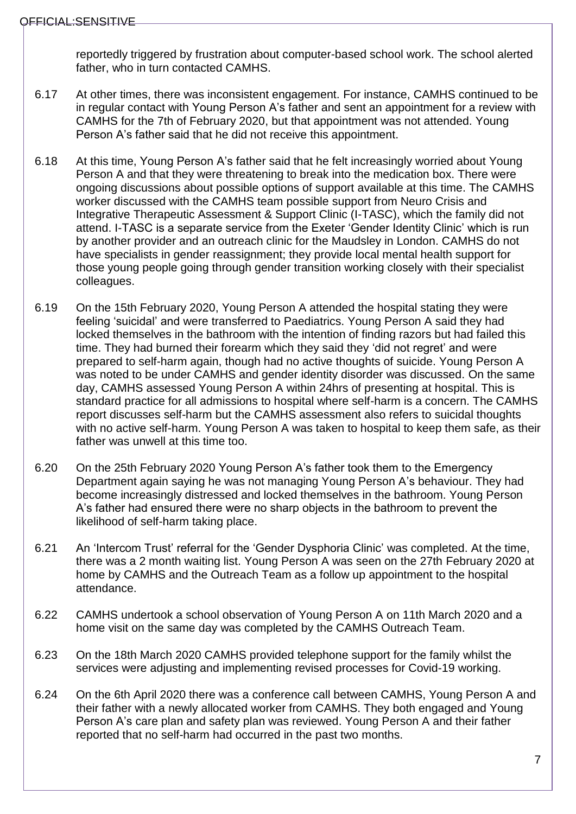reportedly triggered by frustration about computer-based school work. The school alerted father, who in turn contacted CAMHS.

- 6.17 At other times, there was inconsistent engagement. For instance, CAMHS continued to be in regular contact with Young Person A's father and sent an appointment for a review with CAMHS for the 7th of February 2020, but that appointment was not attended. Young Person A's father said that he did not receive this appointment.
- 6.18 At this time, Young Person A's father said that he felt increasingly worried about Young Person A and that they were threatening to break into the medication box. There were ongoing discussions about possible options of support available at this time. The CAMHS worker discussed with the CAMHS team possible support from Neuro Crisis and Integrative Therapeutic Assessment & Support Clinic (I-TASC), which the family did not attend. I-TASC is a separate service from the Exeter 'Gender Identity Clinic' which is run by another provider and an outreach clinic for the Maudsley in London. CAMHS do not have specialists in gender reassignment; they provide local mental health support for those young people going through gender transition working closely with their specialist colleagues.
- 6.19 On the 15th February 2020, Young Person A attended the hospital stating they were feeling 'suicidal' and were transferred to Paediatrics. Young Person A said they had locked themselves in the bathroom with the intention of finding razors but had failed this time. They had burned their forearm which they said they 'did not regret' and were prepared to self-harm again, though had no active thoughts of suicide. Young Person A was noted to be under CAMHS and gender identity disorder was discussed. On the same day, CAMHS assessed Young Person A within 24hrs of presenting at hospital. This is standard practice for all admissions to hospital where self-harm is a concern. The CAMHS report discusses self-harm but the CAMHS assessment also refers to suicidal thoughts with no active self-harm. Young Person A was taken to hospital to keep them safe, as their father was unwell at this time too.
- 6.20 On the 25th February 2020 Young Person A's father took them to the Emergency Department again saying he was not managing Young Person A's behaviour. They had become increasingly distressed and locked themselves in the bathroom. Young Person A's father had ensured there were no sharp objects in the bathroom to prevent the likelihood of self-harm taking place.
- 6.21 An 'Intercom Trust' referral for the 'Gender Dysphoria Clinic' was completed. At the time, there was a 2 month waiting list. Young Person A was seen on the 27th February 2020 at home by CAMHS and the Outreach Team as a follow up appointment to the hospital attendance.
- 6.22 CAMHS undertook a school observation of Young Person A on 11th March 2020 and a home visit on the same day was completed by the CAMHS Outreach Team.
- 6.23 On the 18th March 2020 CAMHS provided telephone support for the family whilst the services were adjusting and implementing revised processes for Covid-19 working.
- 6.24 On the 6th April 2020 there was a conference call between CAMHS, Young Person A and their father with a newly allocated worker from CAMHS. They both engaged and Young Person A's care plan and safety plan was reviewed. Young Person A and their father reported that no self-harm had occurred in the past two months.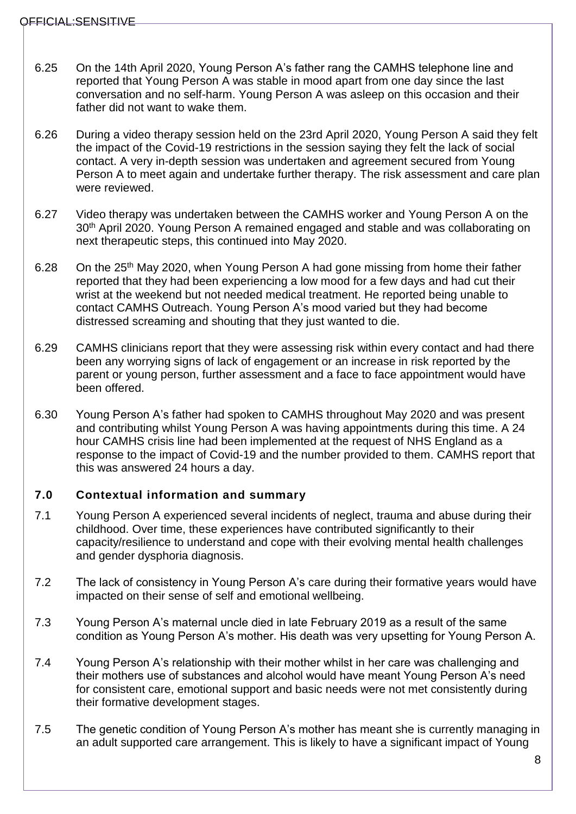- 6.25 On the 14th April 2020, Young Person A's father rang the CAMHS telephone line and reported that Young Person A was stable in mood apart from one day since the last conversation and no self-harm. Young Person A was asleep on this occasion and their father did not want to wake them.
- 6.26 During a video therapy session held on the 23rd April 2020, Young Person A said they felt the impact of the Covid-19 restrictions in the session saying they felt the lack of social contact. A very in-depth session was undertaken and agreement secured from Young Person A to meet again and undertake further therapy. The risk assessment and care plan were reviewed.
- 6.27 Video therapy was undertaken between the CAMHS worker and Young Person A on the 30<sup>th</sup> April 2020. Young Person A remained engaged and stable and was collaborating on next therapeutic steps, this continued into May 2020.
- 6.28 On the 25<sup>th</sup> May 2020, when Young Person A had gone missing from home their father reported that they had been experiencing a low mood for a few days and had cut their wrist at the weekend but not needed medical treatment. He reported being unable to contact CAMHS Outreach. Young Person A's mood varied but they had become distressed screaming and shouting that they just wanted to die.
- 6.29 CAMHS clinicians report that they were assessing risk within every contact and had there been any worrying signs of lack of engagement or an increase in risk reported by the parent or young person, further assessment and a face to face appointment would have been offered.
- 6.30 Young Person A's father had spoken to CAMHS throughout May 2020 and was present and contributing whilst Young Person A was having appointments during this time. A 24 hour CAMHS crisis line had been implemented at the request of NHS England as a response to the impact of Covid-19 and the number provided to them. CAMHS report that this was answered 24 hours a day.

## <span id="page-7-0"></span>**7.0 Contextual information and summary**

- 7.1 Young Person A experienced several incidents of neglect, trauma and abuse during their childhood. Over time, these experiences have contributed significantly to their capacity/resilience to understand and cope with their evolving mental health challenges and gender dysphoria diagnosis.
- 7.2 The lack of consistency in Young Person A's care during their formative years would have impacted on their sense of self and emotional wellbeing.
- 7.3 Young Person A's maternal uncle died in late February 2019 as a result of the same condition as Young Person A's mother. His death was very upsetting for Young Person A.
- 7.4 Young Person A's relationship with their mother whilst in her care was challenging and their mothers use of substances and alcohol would have meant Young Person A's need for consistent care, emotional support and basic needs were not met consistently during their formative development stages.
- 7.5 The genetic condition of Young Person A's mother has meant she is currently managing in an adult supported care arrangement. This is likely to have a significant impact of Young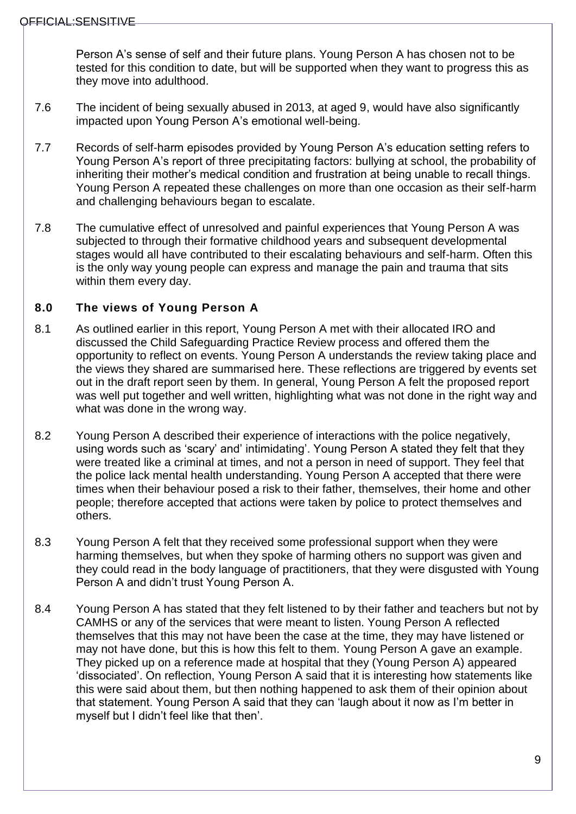Person A's sense of self and their future plans. Young Person A has chosen not to be tested for this condition to date, but will be supported when they want to progress this as they move into adulthood.

- 7.6 The incident of being sexually abused in 2013, at aged 9, would have also significantly impacted upon Young Person A's emotional well-being.
- 7.7 Records of self-harm episodes provided by Young Person A's education setting refers to Young Person A's report of three precipitating factors: bullying at school, the probability of inheriting their mother's medical condition and frustration at being unable to recall things. Young Person A repeated these challenges on more than one occasion as their self-harm and challenging behaviours began to escalate.
- 7.8 The cumulative effect of unresolved and painful experiences that Young Person A was subjected to through their formative childhood years and subsequent developmental stages would all have contributed to their escalating behaviours and self-harm. Often this is the only way young people can express and manage the pain and trauma that sits within them every day.

# <span id="page-8-0"></span>**8.0 The views of Young Person A**

- 8.1 As outlined earlier in this report, Young Person A met with their allocated IRO and discussed the Child Safeguarding Practice Review process and offered them the opportunity to reflect on events. Young Person A understands the review taking place and the views they shared are summarised here. These reflections are triggered by events set out in the draft report seen by them. In general, Young Person A felt the proposed report was well put together and well written, highlighting what was not done in the right way and what was done in the wrong way.
- 8.2 Young Person A described their experience of interactions with the police negatively, using words such as 'scary' and' intimidating'. Young Person A stated they felt that they were treated like a criminal at times, and not a person in need of support. They feel that the police lack mental health understanding. Young Person A accepted that there were times when their behaviour posed a risk to their father, themselves, their home and other people; therefore accepted that actions were taken by police to protect themselves and others.
- 8.3 Young Person A felt that they received some professional support when they were harming themselves, but when they spoke of harming others no support was given and they could read in the body language of practitioners, that they were disgusted with Young Person A and didn't trust Young Person A.
- 8.4 Young Person A has stated that they felt listened to by their father and teachers but not by CAMHS or any of the services that were meant to listen. Young Person A reflected themselves that this may not have been the case at the time, they may have listened or may not have done, but this is how this felt to them. Young Person A gave an example. They picked up on a reference made at hospital that they (Young Person A) appeared 'dissociated'. On reflection, Young Person A said that it is interesting how statements like this were said about them, but then nothing happened to ask them of their opinion about that statement. Young Person A said that they can 'laugh about it now as I'm better in myself but I didn't feel like that then'.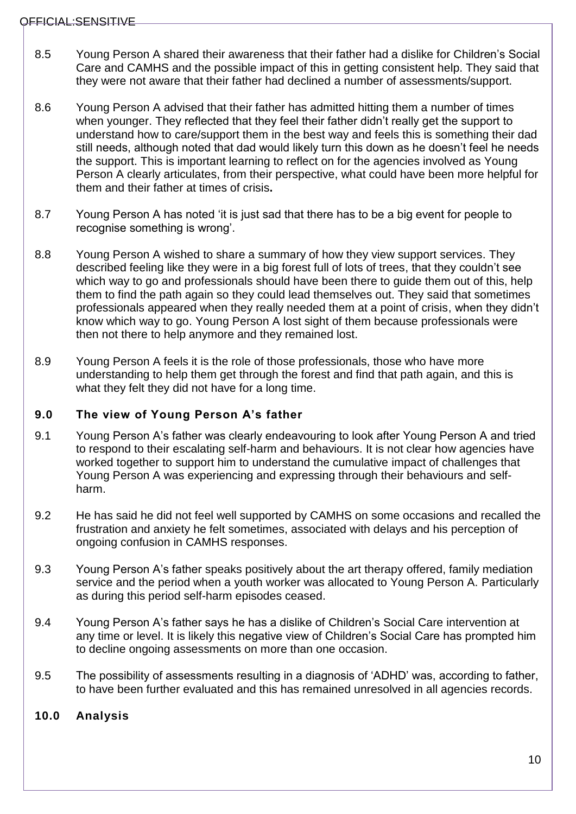- 8.5 Young Person A shared their awareness that their father had a dislike for Children's Social Care and CAMHS and the possible impact of this in getting consistent help. They said that they were not aware that their father had declined a number of assessments/support.
- 8.6 Young Person A advised that their father has admitted hitting them a number of times when younger. They reflected that they feel their father didn't really get the support to understand how to care/support them in the best way and feels this is something their dad still needs, although noted that dad would likely turn this down as he doesn't feel he needs the support. This is important learning to reflect on for the agencies involved as Young Person A clearly articulates, from their perspective, what could have been more helpful for them and their father at times of crisis**.**
- 8.7 Young Person A has noted 'it is just sad that there has to be a big event for people to recognise something is wrong'.
- 8.8 Young Person A wished to share a summary of how they view support services. They described feeling like they were in a big forest full of lots of trees, that they couldn't see which way to go and professionals should have been there to guide them out of this, help them to find the path again so they could lead themselves out. They said that sometimes professionals appeared when they really needed them at a point of crisis, when they didn't know which way to go. Young Person A lost sight of them because professionals were then not there to help anymore and they remained lost.
- 8.9 Young Person A feels it is the role of those professionals, those who have more understanding to help them get through the forest and find that path again, and this is what they felt they did not have for a long time.

## <span id="page-9-0"></span>**9.0 The view of Young Person A's father**

- 9.1 Young Person A's father was clearly endeavouring to look after Young Person A and tried to respond to their escalating self-harm and behaviours. It is not clear how agencies have worked together to support him to understand the cumulative impact of challenges that Young Person A was experiencing and expressing through their behaviours and selfharm.
- 9.2 He has said he did not feel well supported by CAMHS on some occasions and recalled the frustration and anxiety he felt sometimes, associated with delays and his perception of ongoing confusion in CAMHS responses.
- 9.3 Young Person A's father speaks positively about the art therapy offered, family mediation service and the period when a youth worker was allocated to Young Person A. Particularly as during this period self-harm episodes ceased.
- 9.4 Young Person A's father says he has a dislike of Children's Social Care intervention at any time or level. It is likely this negative view of Children's Social Care has prompted him to decline ongoing assessments on more than one occasion.
- 9.5 The possibility of assessments resulting in a diagnosis of 'ADHD' was, according to father, to have been further evaluated and this has remained unresolved in all agencies records.

## <span id="page-9-1"></span>**10.0 Analysis**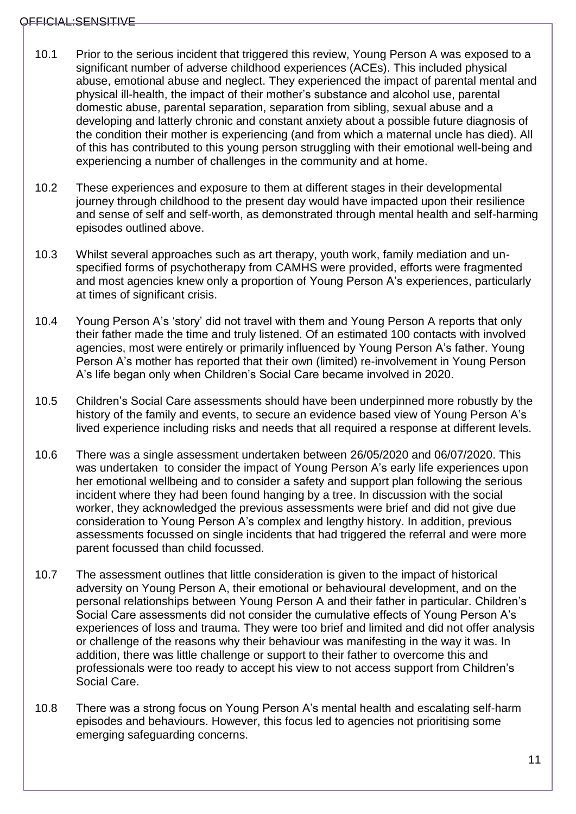- 10.1 Prior to the serious incident that triggered this review, Young Person A was exposed to a significant number of adverse childhood experiences (ACEs). This included physical abuse, emotional abuse and neglect. They experienced the impact of parental mental and physical ill-health, the impact of their mother's substance and alcohol use, parental domestic abuse, parental separation, separation from sibling, sexual abuse and a developing and latterly chronic and constant anxiety about a possible future diagnosis of the condition their mother is experiencing (and from which a maternal uncle has died). All of this has contributed to this young person struggling with their emotional well-being and experiencing a number of challenges in the community and at home.
- 10.2 These experiences and exposure to them at different stages in their developmental journey through childhood to the present day would have impacted upon their resilience and sense of self and self-worth, as demonstrated through mental health and self-harming episodes outlined above.
- 10.3 Whilst several approaches such as art therapy, youth work, family mediation and unspecified forms of psychotherapy from CAMHS were provided, efforts were fragmented and most agencies knew only a proportion of Young Person A's experiences, particularly at times of significant crisis.
- 10.4 Young Person A's 'story' did not travel with them and Young Person A reports that only their father made the time and truly listened. Of an estimated 100 contacts with involved agencies, most were entirely or primarily influenced by Young Person A's father. Young Person A's mother has reported that their own (limited) re-involvement in Young Person A's life began only when Children's Social Care became involved in 2020.
- 10.5 Children's Social Care assessments should have been underpinned more robustly by the history of the family and events, to secure an evidence based view of Young Person A's lived experience including risks and needs that all required a response at different levels.
- 10.6 There was a single assessment undertaken between 26/05/2020 and 06/07/2020. This was undertaken to consider the impact of Young Person A's early life experiences upon her emotional wellbeing and to consider a safety and support plan following the serious incident where they had been found hanging by a tree. In discussion with the social worker, they acknowledged the previous assessments were brief and did not give due consideration to Young Person A's complex and lengthy history. In addition, previous assessments focussed on single incidents that had triggered the referral and were more parent focussed than child focussed.
- 10.7 The assessment outlines that little consideration is given to the impact of historical adversity on Young Person A, their emotional or behavioural development, and on the personal relationships between Young Person A and their father in particular. Children's Social Care assessments did not consider the cumulative effects of Young Person A's experiences of loss and trauma. They were too brief and limited and did not offer analysis or challenge of the reasons why their behaviour was manifesting in the way it was. In addition, there was little challenge or support to their father to overcome this and professionals were too ready to accept his view to not access support from Children's Social Care.
- 10.8 There was a strong focus on Young Person A's mental health and escalating self-harm episodes and behaviours. However, this focus led to agencies not prioritising some emerging safeguarding concerns.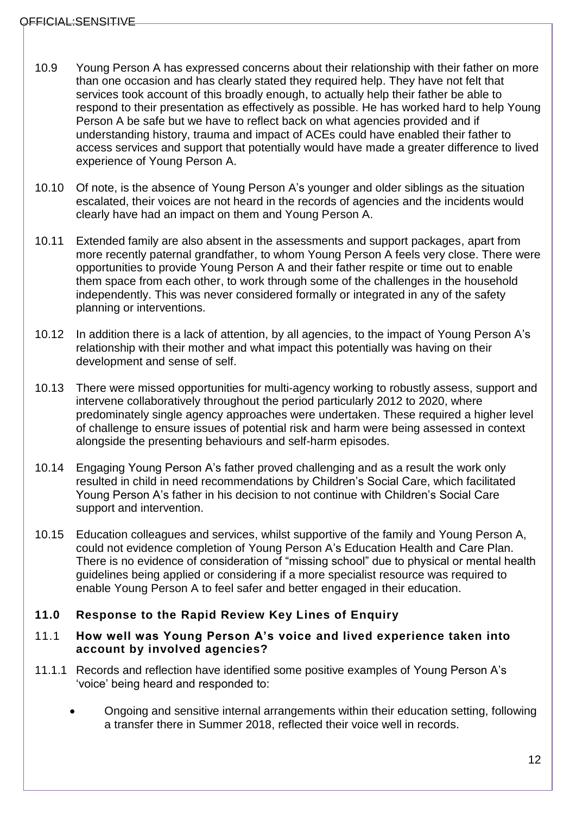- 10.9 Young Person A has expressed concerns about their relationship with their father on more than one occasion and has clearly stated they required help. They have not felt that services took account of this broadly enough, to actually help their father be able to respond to their presentation as effectively as possible. He has worked hard to help Young Person A be safe but we have to reflect back on what agencies provided and if understanding history, trauma and impact of ACEs could have enabled their father to access services and support that potentially would have made a greater difference to lived experience of Young Person A.
- 10.10 Of note, is the absence of Young Person A's younger and older siblings as the situation escalated, their voices are not heard in the records of agencies and the incidents would clearly have had an impact on them and Young Person A.
- 10.11 Extended family are also absent in the assessments and support packages, apart from more recently paternal grandfather, to whom Young Person A feels very close. There were opportunities to provide Young Person A and their father respite or time out to enable them space from each other, to work through some of the challenges in the household independently. This was never considered formally or integrated in any of the safety planning or interventions.
- 10.12 In addition there is a lack of attention, by all agencies, to the impact of Young Person A's relationship with their mother and what impact this potentially was having on their development and sense of self.
- 10.13 There were missed opportunities for multi-agency working to robustly assess, support and intervene collaboratively throughout the period particularly 2012 to 2020, where predominately single agency approaches were undertaken. These required a higher level of challenge to ensure issues of potential risk and harm were being assessed in context alongside the presenting behaviours and self-harm episodes.
- 10.14 Engaging Young Person A's father proved challenging and as a result the work only resulted in child in need recommendations by Children's Social Care, which facilitated Young Person A's father in his decision to not continue with Children's Social Care support and intervention.
- 10.15 Education colleagues and services, whilst supportive of the family and Young Person A, could not evidence completion of Young Person A's Education Health and Care Plan. There is no evidence of consideration of "missing school" due to physical or mental health guidelines being applied or considering if a more specialist resource was required to enable Young Person A to feel safer and better engaged in their education.

## <span id="page-11-0"></span>**11.0 Response to the Rapid Review Key Lines of Enquiry**

#### <span id="page-11-1"></span>11.1 **How well was Young Person A's voice and lived experience taken into account by involved agencies?**

- 11.1.1 Records and reflection have identified some positive examples of Young Person A's 'voice' being heard and responded to:
	- Ongoing and sensitive internal arrangements within their education setting, following a transfer there in Summer 2018, reflected their voice well in records.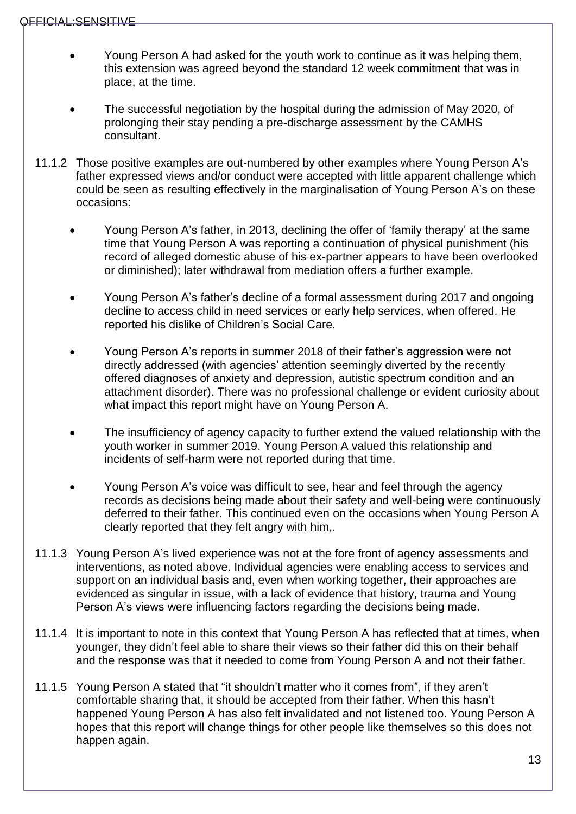- Young Person A had asked for the youth work to continue as it was helping them, this extension was agreed beyond the standard 12 week commitment that was in place, at the time.
- The successful negotiation by the hospital during the admission of May 2020, of prolonging their stay pending a pre-discharge assessment by the CAMHS consultant.
- 11.1.2 Those positive examples are out-numbered by other examples where Young Person A's father expressed views and/or conduct were accepted with little apparent challenge which could be seen as resulting effectively in the marginalisation of Young Person A's on these occasions:
	- Young Person A's father, in 2013, declining the offer of 'family therapy' at the same time that Young Person A was reporting a continuation of physical punishment (his record of alleged domestic abuse of his ex-partner appears to have been overlooked or diminished); later withdrawal from mediation offers a further example.
	- Young Person A's father's decline of a formal assessment during 2017 and ongoing decline to access child in need services or early help services, when offered. He reported his dislike of Children's Social Care.
	- Young Person A's reports in summer 2018 of their father's aggression were not directly addressed (with agencies' attention seemingly diverted by the recently offered diagnoses of anxiety and depression, autistic spectrum condition and an attachment disorder). There was no professional challenge or evident curiosity about what impact this report might have on Young Person A.
	- The insufficiency of agency capacity to further extend the valued relationship with the youth worker in summer 2019. Young Person A valued this relationship and incidents of self-harm were not reported during that time.
	- Young Person A's voice was difficult to see, hear and feel through the agency records as decisions being made about their safety and well-being were continuously deferred to their father. This continued even on the occasions when Young Person A clearly reported that they felt angry with him,.
- 11.1.3 Young Person A's lived experience was not at the fore front of agency assessments and interventions, as noted above. Individual agencies were enabling access to services and support on an individual basis and, even when working together, their approaches are evidenced as singular in issue, with a lack of evidence that history, trauma and Young Person A's views were influencing factors regarding the decisions being made.
- 11.1.4 It is important to note in this context that Young Person A has reflected that at times, when younger, they didn't feel able to share their views so their father did this on their behalf and the response was that it needed to come from Young Person A and not their father.
- 11.1.5 Young Person A stated that "it shouldn't matter who it comes from", if they aren't comfortable sharing that, it should be accepted from their father. When this hasn't happened Young Person A has also felt invalidated and not listened too. Young Person A hopes that this report will change things for other people like themselves so this does not happen again.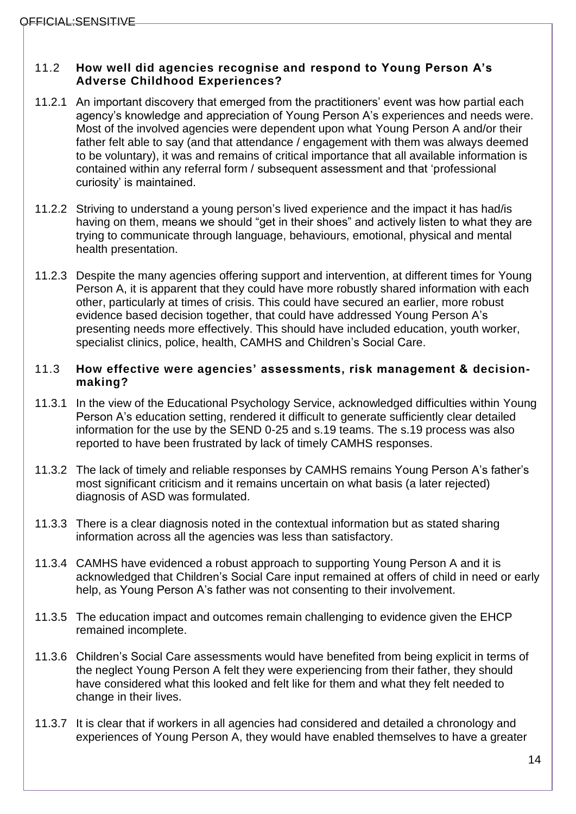#### <span id="page-13-0"></span>11.2 **How well did agencies recognise and respond to Young Person A's Adverse Childhood Experiences?**

- 11.2.1 An important discovery that emerged from the practitioners' event was how partial each agency's knowledge and appreciation of Young Person A's experiences and needs were. Most of the involved agencies were dependent upon what Young Person A and/or their father felt able to say (and that attendance / engagement with them was always deemed to be voluntary), it was and remains of critical importance that all available information is contained within any referral form / subsequent assessment and that 'professional curiosity' is maintained.
- 11.2.2 Striving to understand a young person's lived experience and the impact it has had/is having on them, means we should "get in their shoes" and actively listen to what they are trying to communicate through language, behaviours, emotional, physical and mental health presentation.
- 11.2.3 Despite the many agencies offering support and intervention, at different times for Young Person A, it is apparent that they could have more robustly shared information with each other, particularly at times of crisis. This could have secured an earlier, more robust evidence based decision together, that could have addressed Young Person A's presenting needs more effectively. This should have included education, youth worker, specialist clinics, police, health, CAMHS and Children's Social Care.

#### <span id="page-13-1"></span>11.3 **How effective were agencies' assessments, risk management & decisionmaking?**

- 11.3.1 In the view of the Educational Psychology Service, acknowledged difficulties within Young Person A's education setting, rendered it difficult to generate sufficiently clear detailed information for the use by the SEND 0-25 and s.19 teams. The s.19 process was also reported to have been frustrated by lack of timely CAMHS responses.
- 11.3.2 The lack of timely and reliable responses by CAMHS remains Young Person A's father's most significant criticism and it remains uncertain on what basis (a later rejected) diagnosis of ASD was formulated.
- 11.3.3 There is a clear diagnosis noted in the contextual information but as stated sharing information across all the agencies was less than satisfactory.
- 11.3.4 CAMHS have evidenced a robust approach to supporting Young Person A and it is acknowledged that Children's Social Care input remained at offers of child in need or early help, as Young Person A's father was not consenting to their involvement.
- 11.3.5 The education impact and outcomes remain challenging to evidence given the EHCP remained incomplete.
- 11.3.6 Children's Social Care assessments would have benefited from being explicit in terms of the neglect Young Person A felt they were experiencing from their father, they should have considered what this looked and felt like for them and what they felt needed to change in their lives.
- 11.3.7 It is clear that if workers in all agencies had considered and detailed a chronology and experiences of Young Person A, they would have enabled themselves to have a greater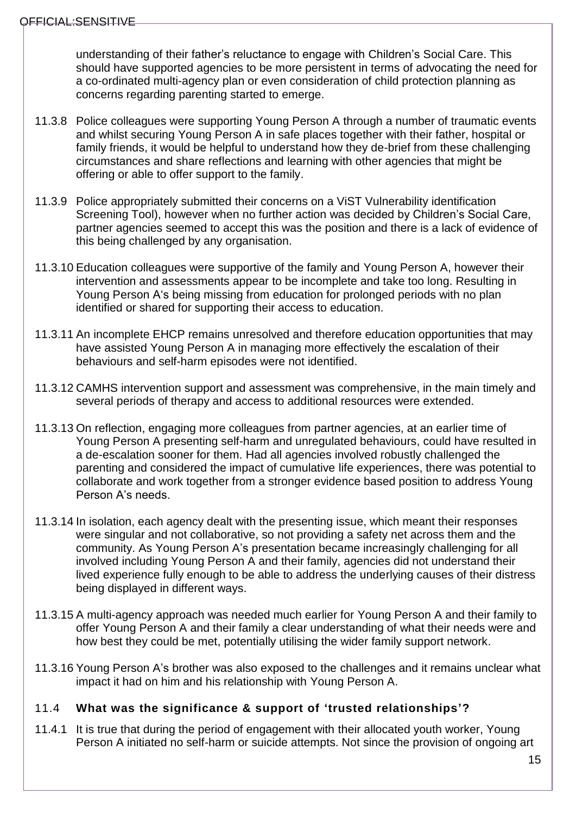understanding of their father's reluctance to engage with Children's Social Care. This should have supported agencies to be more persistent in terms of advocating the need for a co-ordinated multi-agency plan or even consideration of child protection planning as concerns regarding parenting started to emerge.

- 11.3.8 Police colleagues were supporting Young Person A through a number of traumatic events and whilst securing Young Person A in safe places together with their father, hospital or family friends, it would be helpful to understand how they de-brief from these challenging circumstances and share reflections and learning with other agencies that might be offering or able to offer support to the family.
- 11.3.9 Police appropriately submitted their concerns on a ViST Vulnerability identification Screening Tool), however when no further action was decided by Children's Social Care, partner agencies seemed to accept this was the position and there is a lack of evidence of this being challenged by any organisation.
- 11.3.10 Education colleagues were supportive of the family and Young Person A, however their intervention and assessments appear to be incomplete and take too long. Resulting in Young Person A's being missing from education for prolonged periods with no plan identified or shared for supporting their access to education.
- 11.3.11 An incomplete EHCP remains unresolved and therefore education opportunities that may have assisted Young Person A in managing more effectively the escalation of their behaviours and self-harm episodes were not identified.
- 11.3.12 CAMHS intervention support and assessment was comprehensive, in the main timely and several periods of therapy and access to additional resources were extended.
- 11.3.13 On reflection, engaging more colleagues from partner agencies, at an earlier time of Young Person A presenting self-harm and unregulated behaviours, could have resulted in a de-escalation sooner for them. Had all agencies involved robustly challenged the parenting and considered the impact of cumulative life experiences, there was potential to collaborate and work together from a stronger evidence based position to address Young Person A's needs.
- 11.3.14 In isolation, each agency dealt with the presenting issue, which meant their responses were singular and not collaborative, so not providing a safety net across them and the community. As Young Person A's presentation became increasingly challenging for all involved including Young Person A and their family, agencies did not understand their lived experience fully enough to be able to address the underlying causes of their distress being displayed in different ways.
- 11.3.15 A multi-agency approach was needed much earlier for Young Person A and their family to offer Young Person A and their family a clear understanding of what their needs were and how best they could be met, potentially utilising the wider family support network.
- 11.3.16 Young Person A's brother was also exposed to the challenges and it remains unclear what impact it had on him and his relationship with Young Person A.

#### <span id="page-14-0"></span>11.4 **What was the significance & support of 'trusted relationships'?**

11.4.1 It is true that during the period of engagement with their allocated youth worker, Young Person A initiated no self-harm or suicide attempts. Not since the provision of ongoing art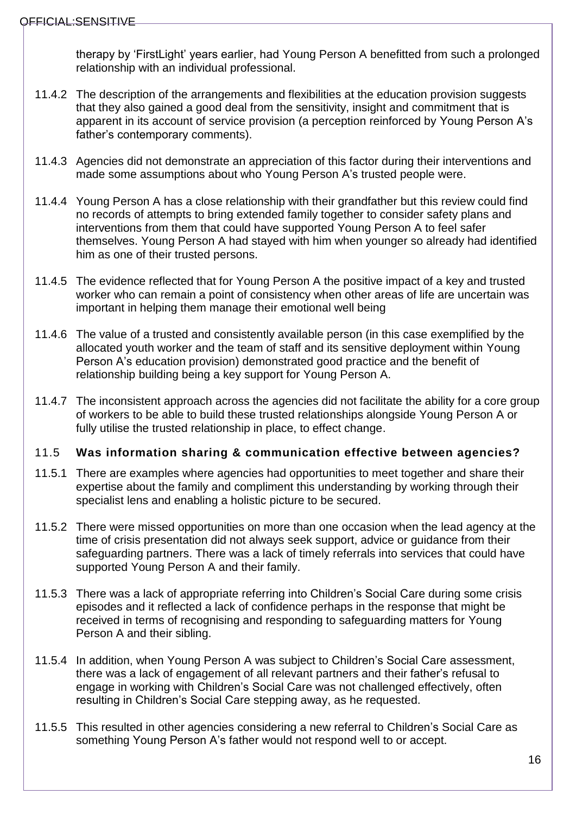therapy by 'FirstLight' years earlier, had Young Person A benefitted from such a prolonged relationship with an individual professional.

- 11.4.2 The description of the arrangements and flexibilities at the education provision suggests that they also gained a good deal from the sensitivity, insight and commitment that is apparent in its account of service provision (a perception reinforced by Young Person A's father's contemporary comments).
- 11.4.3 Agencies did not demonstrate an appreciation of this factor during their interventions and made some assumptions about who Young Person A's trusted people were.
- 11.4.4 Young Person A has a close relationship with their grandfather but this review could find no records of attempts to bring extended family together to consider safety plans and interventions from them that could have supported Young Person A to feel safer themselves. Young Person A had stayed with him when younger so already had identified him as one of their trusted persons.
- 11.4.5 The evidence reflected that for Young Person A the positive impact of a key and trusted worker who can remain a point of consistency when other areas of life are uncertain was important in helping them manage their emotional well being
- 11.4.6 The value of a trusted and consistently available person (in this case exemplified by the allocated youth worker and the team of staff and its sensitive deployment within Young Person A's education provision) demonstrated good practice and the benefit of relationship building being a key support for Young Person A.
- 11.4.7 The inconsistent approach across the agencies did not facilitate the ability for a core group of workers to be able to build these trusted relationships alongside Young Person A or fully utilise the trusted relationship in place, to effect change.

## <span id="page-15-0"></span>11.5 **Was information sharing & communication effective between agencies?**

- 11.5.1 There are examples where agencies had opportunities to meet together and share their expertise about the family and compliment this understanding by working through their specialist lens and enabling a holistic picture to be secured.
- 11.5.2 There were missed opportunities on more than one occasion when the lead agency at the time of crisis presentation did not always seek support, advice or guidance from their safeguarding partners. There was a lack of timely referrals into services that could have supported Young Person A and their family.
- 11.5.3 There was a lack of appropriate referring into Children's Social Care during some crisis episodes and it reflected a lack of confidence perhaps in the response that might be received in terms of recognising and responding to safeguarding matters for Young Person A and their sibling.
- 11.5.4 In addition, when Young Person A was subject to Children's Social Care assessment, there was a lack of engagement of all relevant partners and their father's refusal to engage in working with Children's Social Care was not challenged effectively, often resulting in Children's Social Care stepping away, as he requested.
- 11.5.5 This resulted in other agencies considering a new referral to Children's Social Care as something Young Person A's father would not respond well to or accept.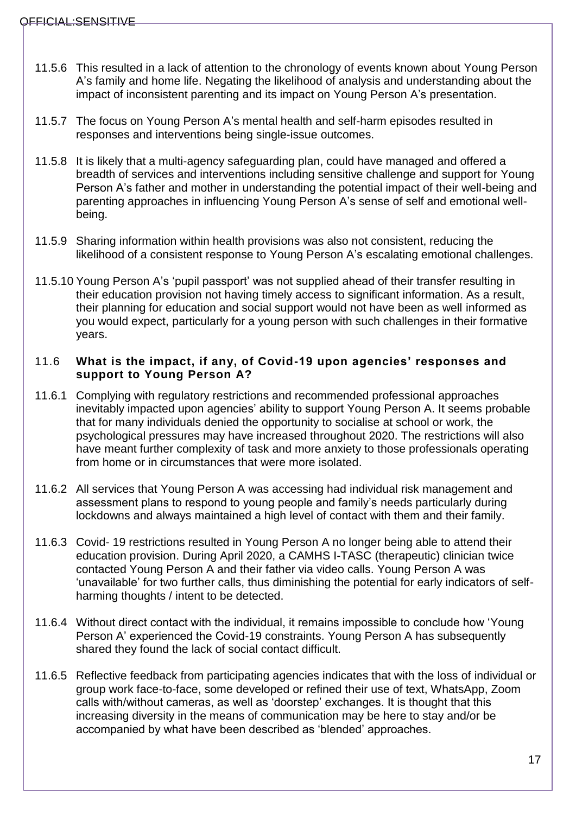- 11.5.6 This resulted in a lack of attention to the chronology of events known about Young Person A's family and home life. Negating the likelihood of analysis and understanding about the impact of inconsistent parenting and its impact on Young Person A's presentation.
- 11.5.7 The focus on Young Person A's mental health and self-harm episodes resulted in responses and interventions being single-issue outcomes.
- 11.5.8 It is likely that a multi-agency safeguarding plan, could have managed and offered a breadth of services and interventions including sensitive challenge and support for Young Person A's father and mother in understanding the potential impact of their well-being and parenting approaches in influencing Young Person A's sense of self and emotional wellbeing.
- 11.5.9 Sharing information within health provisions was also not consistent, reducing the likelihood of a consistent response to Young Person A's escalating emotional challenges.
- 11.5.10 Young Person A's 'pupil passport' was not supplied ahead of their transfer resulting in their education provision not having timely access to significant information. As a result, their planning for education and social support would not have been as well informed as you would expect, particularly for a young person with such challenges in their formative years.

#### <span id="page-16-0"></span>11.6 **What is the impact, if any, of Covid-19 upon agencies' responses and support to Young Person A?**

- 11.6.1 Complying with regulatory restrictions and recommended professional approaches inevitably impacted upon agencies' ability to support Young Person A. It seems probable that for many individuals denied the opportunity to socialise at school or work, the psychological pressures may have increased throughout 2020. The restrictions will also have meant further complexity of task and more anxiety to those professionals operating from home or in circumstances that were more isolated.
- 11.6.2 All services that Young Person A was accessing had individual risk management and assessment plans to respond to young people and family's needs particularly during lockdowns and always maintained a high level of contact with them and their family.
- 11.6.3 Covid- 19 restrictions resulted in Young Person A no longer being able to attend their education provision. During April 2020, a CAMHS I-TASC (therapeutic) clinician twice contacted Young Person A and their father via video calls. Young Person A was 'unavailable' for two further calls, thus diminishing the potential for early indicators of selfharming thoughts / intent to be detected.
- 11.6.4 Without direct contact with the individual, it remains impossible to conclude how 'Young Person A' experienced the Covid-19 constraints. Young Person A has subsequently shared they found the lack of social contact difficult.
- 11.6.5 Reflective feedback from participating agencies indicates that with the loss of individual or group work face-to-face, some developed or refined their use of text, WhatsApp, Zoom calls with/without cameras, as well as 'doorstep' exchanges. It is thought that this increasing diversity in the means of communication may be here to stay and/or be accompanied by what have been described as 'blended' approaches.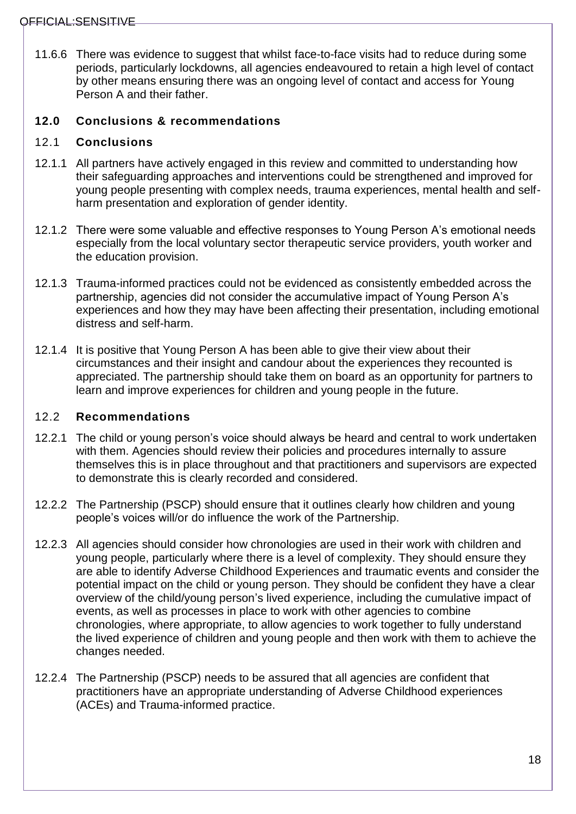11.6.6 There was evidence to suggest that whilst face-to-face visits had to reduce during some periods, particularly lockdowns, all agencies endeavoured to retain a high level of contact by other means ensuring there was an ongoing level of contact and access for Young Person A and their father.

# <span id="page-17-0"></span>**12.0 Conclusions & recommendations**

### <span id="page-17-1"></span>12.1 **Conclusions**

- 12.1.1 All partners have actively engaged in this review and committed to understanding how their safeguarding approaches and interventions could be strengthened and improved for young people presenting with complex needs, trauma experiences, mental health and selfharm presentation and exploration of gender identity.
- 12.1.2 There were some valuable and effective responses to Young Person A's emotional needs especially from the local voluntary sector therapeutic service providers, youth worker and the education provision.
- 12.1.3 Trauma-informed practices could not be evidenced as consistently embedded across the partnership, agencies did not consider the accumulative impact of Young Person A's experiences and how they may have been affecting their presentation, including emotional distress and self-harm.
- 12.1.4 It is positive that Young Person A has been able to give their view about their circumstances and their insight and candour about the experiences they recounted is appreciated. The partnership should take them on board as an opportunity for partners to learn and improve experiences for children and young people in the future.

## <span id="page-17-2"></span>12.2 **Recommendations**

- 12.2.1 The child or young person's voice should always be heard and central to work undertaken with them. Agencies should review their policies and procedures internally to assure themselves this is in place throughout and that practitioners and supervisors are expected to demonstrate this is clearly recorded and considered.
- 12.2.2 The Partnership (PSCP) should ensure that it outlines clearly how children and young people's voices will/or do influence the work of the Partnership.
- 12.2.3 All agencies should consider how chronologies are used in their work with children and young people, particularly where there is a level of complexity. They should ensure they are able to identify Adverse Childhood Experiences and traumatic events and consider the potential impact on the child or young person. They should be confident they have a clear overview of the child/young person's lived experience, including the cumulative impact of events, as well as processes in place to work with other agencies to combine chronologies, where appropriate, to allow agencies to work together to fully understand the lived experience of children and young people and then work with them to achieve the changes needed.
- 12.2.4 The Partnership (PSCP) needs to be assured that all agencies are confident that practitioners have an appropriate understanding of Adverse Childhood experiences (ACEs) and Trauma-informed practice.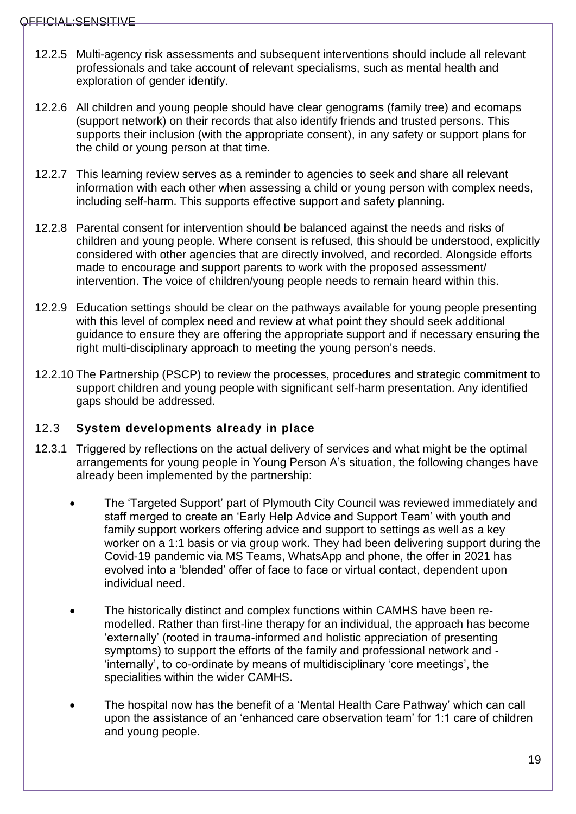- 12.2.5 Multi-agency risk assessments and subsequent interventions should include all relevant professionals and take account of relevant specialisms, such as mental health and exploration of gender identify.
- 12.2.6 All children and young people should have clear genograms (family tree) and ecomaps (support network) on their records that also identify friends and trusted persons. This supports their inclusion (with the appropriate consent), in any safety or support plans for the child or young person at that time.
- 12.2.7 This learning review serves as a reminder to agencies to seek and share all relevant information with each other when assessing a child or young person with complex needs, including self-harm. This supports effective support and safety planning.
- 12.2.8 Parental consent for intervention should be balanced against the needs and risks of children and young people. Where consent is refused, this should be understood, explicitly considered with other agencies that are directly involved, and recorded. Alongside efforts made to encourage and support parents to work with the proposed assessment/ intervention. The voice of children/young people needs to remain heard within this.
- 12.2.9 Education settings should be clear on the pathways available for young people presenting with this level of complex need and review at what point they should seek additional guidance to ensure they are offering the appropriate support and if necessary ensuring the right multi-disciplinary approach to meeting the young person's needs.
- 12.2.10 The Partnership (PSCP) to review the processes, procedures and strategic commitment to support children and young people with significant self-harm presentation. Any identified gaps should be addressed.

## <span id="page-18-0"></span>12.3 **System developments already in place**

- 12.3.1 Triggered by reflections on the actual delivery of services and what might be the optimal arrangements for young people in Young Person A's situation, the following changes have already been implemented by the partnership:
	- The 'Targeted Support' part of Plymouth City Council was reviewed immediately and staff merged to create an 'Early Help Advice and Support Team' with youth and family support workers offering advice and support to settings as well as a key worker on a 1:1 basis or via group work. They had been delivering support during the Covid-19 pandemic via MS Teams, WhatsApp and phone, the offer in 2021 has evolved into a 'blended' offer of face to face or virtual contact, dependent upon individual need.
	- The historically distinct and complex functions within CAMHS have been remodelled. Rather than first-line therapy for an individual, the approach has become 'externally' (rooted in trauma-informed and holistic appreciation of presenting symptoms) to support the efforts of the family and professional network and - 'internally', to co-ordinate by means of multidisciplinary 'core meetings', the specialities within the wider CAMHS.
	- The hospital now has the benefit of a 'Mental Health Care Pathway' which can call upon the assistance of an 'enhanced care observation team' for 1:1 care of children and young people.